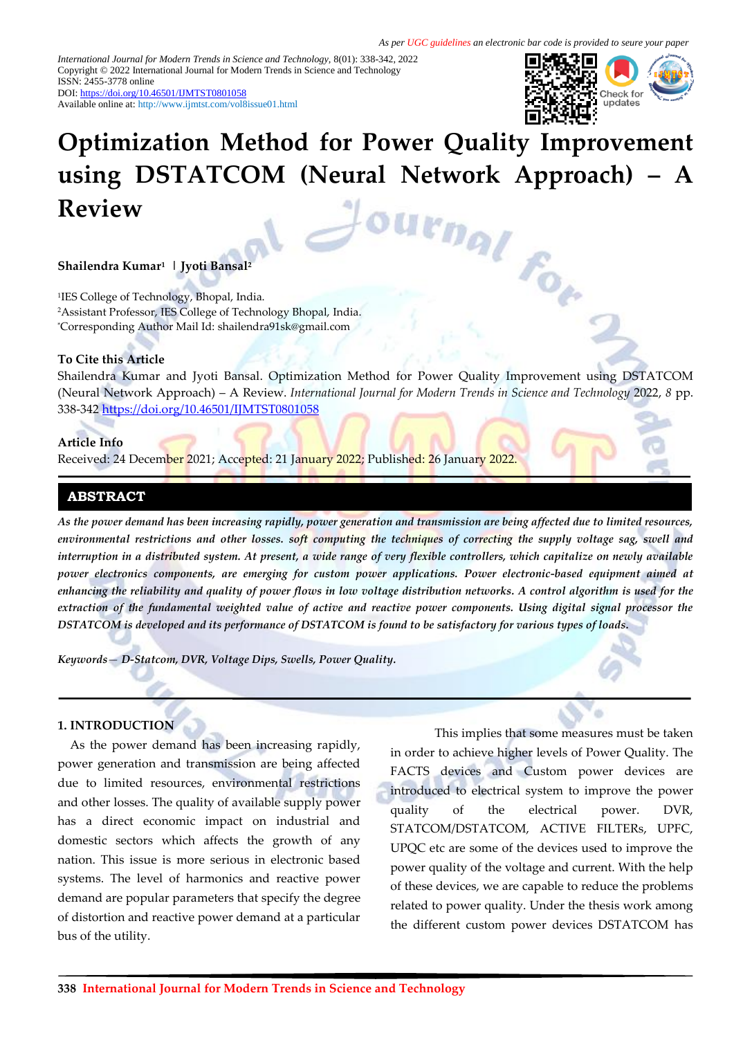*International Journal for Modern Trends in Science and Technology,* 8(01): 338-342, 2022 Copyright © 2022 International Journal for Modern Trends in Science and Technology ISSN: 2455-3778 online DOI[: https://doi.org/10.46501/IJMTST0801058](https://doi.org/10.46501/IJMTST0801058)

Available online at:<http://www.ijmtst.com/vol8issue01.html>



# **Optimization Method for Power Quality Improvement using DSTATCOM (Neural Network Approach) – A<br>Review<br><b>A** *A A A A <i>A A A* **Review**

## **Shailendra Kumar<sup>1</sup> | Jyoti Bansal<sup>2</sup>**

1 IES College of Technology, Bhopal, India. <sup>2</sup>Assistant Professor, IES College of Technology Bhopal, India. \*Corresponding Author Mail Id: shailendra91sk@gmail.com

#### **To Cite this Article**

Shailendra Kumar and Jyoti Bansal. Optimization Method for Power Quality Improvement using DSTATCOM (Neural Network Approach) – A Review. *International Journal for Modern Trends in Science and Technology* 2022, *8* pp. 338-342 <https://doi.org/10.46501/IJMTST0801058>

#### **Article Info**

Received: 24 December 2021; Accepted: 21 January 2022; Published: 26 January 2022.

## **ABSTRACT**

*As the power demand has been increasing rapidly, power generation and transmission are being affected due to limited resources, environmental restrictions and other losses. soft computing the techniques of correcting the supply voltage sag, swell and interruption in a distributed system. At present, a wide range of very flexible controllers, which capitalize on newly available power electronics components, are emerging for custom power applications. Power electronic-based equipment aimed at enhancing the reliability and quality of power flows in low voltage distribution networks. A control algorithm is used for the extraction of the fundamental weighted value of active and reactive power components. Using digital signal processor the DSTATCOM is developed and its performance of DSTATCOM is found to be satisfactory for various types of loads.*

*Keywords— D-Statcom, DVR, Voltage Dips, Swells, Power Quality.*

#### **1. INTRODUCTION**

As the power demand has been increasing rapidly, power generation and transmission are being affected due to limited resources, environmental restrictions and other losses. The quality of available supply power has a direct economic impact on industrial and domestic sectors which affects the growth of any nation. This issue is more serious in electronic based systems. The level of harmonics and reactive power demand are popular parameters that specify the degree of distortion and reactive power demand at a particular bus of the utility.

This implies that some measures must be taken in order to achieve higher levels of Power Quality. The FACTS devices and Custom power devices are introduced to electrical system to improve the power quality of the electrical power. DVR, STATCOM/DSTATCOM, ACTIVE FILTERs, UPFC, UPQC etc are some of the devices used to improve the power quality of the voltage and current. With the help of these devices, we are capable to reduce the problems related to power quality. Under the thesis work among the different custom power devices DSTATCOM has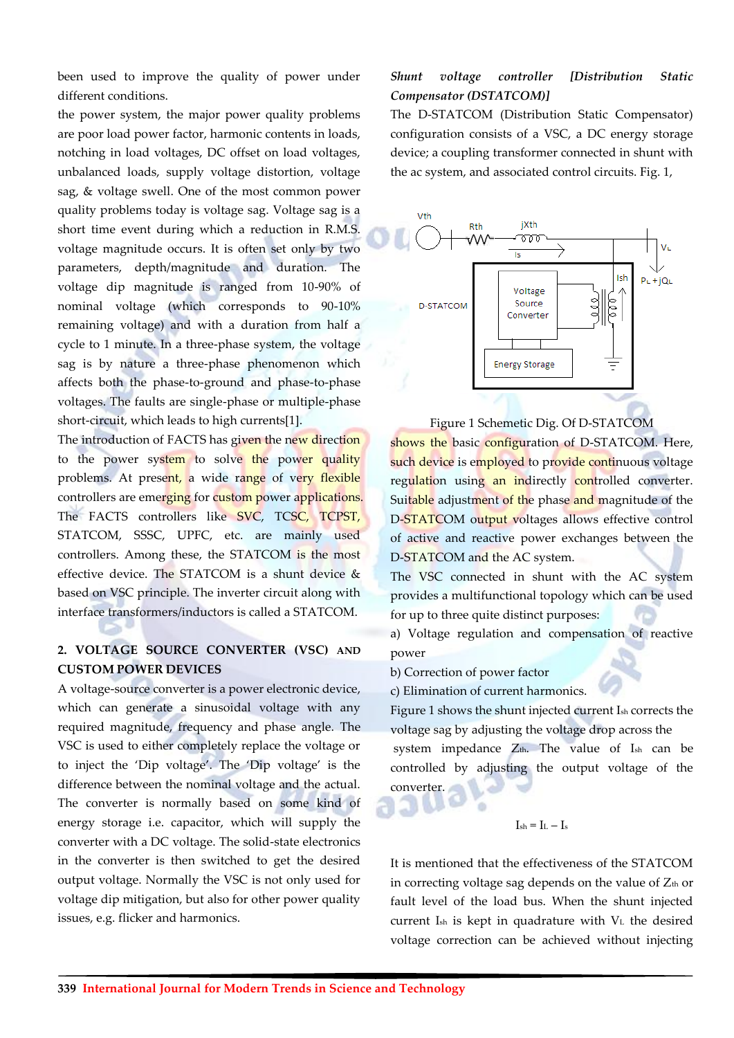been used to improve the quality of power under different conditions.

the power system, the major power quality problems are poor load power factor, harmonic contents in loads, notching in load voltages, DC offset on load voltages, unbalanced loads, supply voltage distortion, voltage sag, & voltage swell. One of the most common power quality problems today is voltage sag. Voltage sag is a short time event during which a reduction in R.M.S. voltage magnitude occurs. It is often set only by two parameters, depth/magnitude and duration. The voltage dip magnitude is ranged from 10-90% of nominal voltage (which corresponds to 90-10% remaining voltage) and with a duration from half a cycle to 1 minute. In a three-phase system, the voltage sag is by nature a three-phase phenomenon which affects both the phase-to-ground and phase-to-phase voltages. The faults are single-phase or multiple-phase short-circuit, which leads to high currents[1].

The introduction of FACTS has given the new direction to the power system to solve the power quality problems. At present, a wide range of very flexible controllers are emerging for custom power applications. The FACTS controllers like SVC, TCSC, TCPST, STATCOM, SSSC, UPFC, etc. are mainly used controllers. Among these, the STATCOM is the most effective device. The STATCOM is a shunt device & based on VSC principle. The inverter circuit along with interface transformers/inductors is called a STATCOM.

## **2. VOLTAGE SOURCE CONVERTER (VSC) AND CUSTOM POWER DEVICES**

A voltage-source converter is a power electronic device, which can generate a sinusoidal voltage with any required magnitude, frequency and phase angle. The VSC is used to either completely replace the voltage or to inject the 'Dip voltage'. The 'Dip voltage' is the difference between the nominal voltage and the actual. The converter is normally based on some kind of energy storage i.e. capacitor, which will supply the converter with a DC voltage. The solid-state electronics in the converter is then switched to get the desired output voltage. Normally the VSC is not only used for voltage dip mitigation, but also for other power quality issues, e.g. flicker and harmonics.

# *Shunt voltage controller [Distribution Static Compensator (DSTATCOM)]*

The D-STATCOM (Distribution Static Compensator) configuration consists of a VSC, a DC energy storage device; a coupling transformer connected in shunt with the ac system, and associated control circuits. Fig. 1,



Figure 1 Schemetic Dig. Of D-STATCOM

shows the basic configuration of D-STATCOM. Here, such device is employed to provide continuous voltage regulation using an indirectly controlled converter. Suitable adjustment of the phase and magnitude of the D-STATCOM output voltages allows effective control of active and reactive power exchanges between the D-STATCOM and the AC system.

The VSC connected in shunt with the AC system provides a multifunctional topology which can be used for up to three quite distinct purposes:

a) Voltage regulation and compensation of reactive power

b) Correction of power factor

c) Elimination of current harmonics.

Figure 1 shows the shunt injected current Ish corrects the voltage sag by adjusting the voltage drop across the

system impedance  $Z_{th}$ . The value of  $I_{sh}$  can be controlled by adjusting the output voltage of the converter.

$$
I_{\rm sh}=I_{\rm L}-I_{\rm s}
$$

It is mentioned that the effectiveness of the STATCOM in correcting voltage sag depends on the value of  $Z<sub>th</sub>$  or fault level of the load bus. When the shunt injected current  $I_{sh}$  is kept in quadrature with  $V_L$  the desired voltage correction can be achieved without injecting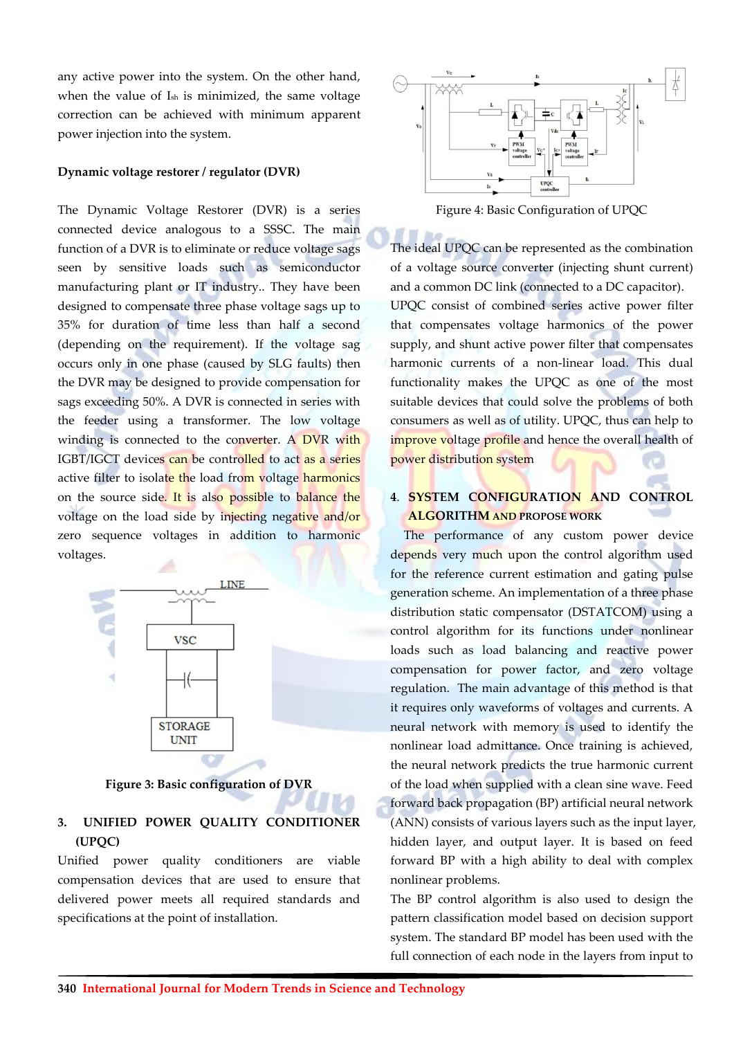any active power into the system. On the other hand, when the value of Ish is minimized, the same voltage correction can be achieved with minimum apparent power injection into the system.

## **Dynamic voltage restorer / regulator (DVR)**

The Dynamic Voltage Restorer (DVR) is a series connected device analogous to a SSSC. The main function of a DVR is to eliminate or reduce voltage sags seen by sensitive loads such as semiconductor manufacturing plant or IT industry.. They have been designed to compensate three phase voltage sags up to 35% for duration of time less than half a second (depending on the requirement). If the voltage sag occurs only in one phase (caused by SLG faults) then the DVR may be designed to provide compensation for sags exceeding 50%. A DVR is connected in series with the feeder using a transformer. The low voltage winding is connected to the converter. A DVR with IGBT/IGCT devices can be controlled to act as a series active filter to isolate the load from voltage harmonics on the source side. It is also possible to balance the voltage on the load side by injecting negative and/or zero sequence voltages in addition to harmonic voltages.



**Figure 3: Basic configuration of DVR**

# **3. UNIFIED POWER QUALITY CONDITIONER (UPQC)**

Unified power quality conditioners are viable compensation devices that are used to ensure that delivered power meets all required standards and specifications at the point of installation.



Figure 4: Basic Configuration of UPQC

The ideal UPQC can be represented as the combination of a voltage source converter (injecting shunt current) and a common DC link (connected to a DC capacitor). UPQC consist of combined series active power filter that compensates voltage harmonics of the power supply, and shunt active power filter that compensates harmonic currents of a non-linear load. This dual functionality makes the UPQC as one of the most suitable devices that could solve the problems of both consumers as well as of utility. UPQC, thus can help to improve voltage profile and hence the overall health of power distribution system

# **4**. **SYSTEM CONFIGURATION AND CONTROL ALGORITHM AND PROPOSE WORK**

The performance of any custom power device depends very much upon the control algorithm used for the reference current estimation and gating pulse generation scheme. An implementation of a three phase distribution static compensator (DSTATCOM) using a control algorithm for its functions under nonlinear loads such as load balancing and reactive power compensation for power factor, and zero voltage regulation. The main advantage of this method is that it requires only waveforms of voltages and currents. A neural network with memory is used to identify the nonlinear load admittance. Once training is achieved, the neural network predicts the true harmonic current of the load when supplied with a clean sine wave. Feed forward back propagation (BP) artificial neural network (ANN) consists of various layers such as the input layer, hidden layer, and output layer. It is based on feed forward BP with a high ability to deal with complex nonlinear problems.

The BP control algorithm is also used to design the pattern classification model based on decision support system. The standard BP model has been used with the full connection of each node in the layers from input to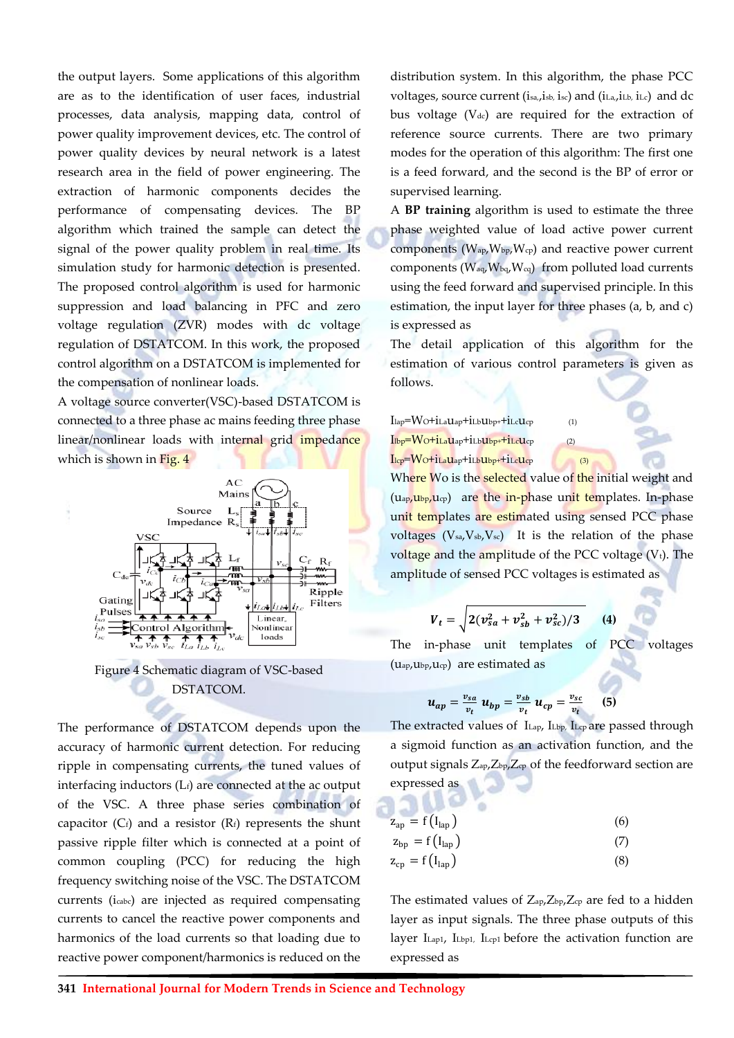the output layers. Some applications of this algorithm are as to the identification of user faces, industrial processes, data analysis, mapping data, control of power quality improvement devices, etc. The control of power quality devices by neural network is a latest research area in the field of power engineering. The extraction of harmonic components decides the performance of compensating devices. The BP algorithm which trained the sample can detect the signal of the power quality problem in real time. Its simulation study for harmonic detection is presented. The proposed control algorithm is used for harmonic suppression and load balancing in PFC and zero voltage regulation (ZVR) modes with dc voltage regulation of DSTATCOM. In this work, the proposed control algorithm on a DSTATCOM is implemented for the compensation of nonlinear loads.

A voltage source converter(VSC)-based DSTATCOM is connected to a three phase ac mains feeding three phase linear/nonlinear loads with internal grid impedance which is shown in Fig. 4



Figure 4 Schematic diagram of VSC-based DSTATCOM.

The performance of DSTATCOM depends upon the accuracy of harmonic current detection. For reducing ripple in compensating currents, the tuned values of interfacing inductors  $(L_f)$  are connected at the ac output of the VSC. A three phase series combination of capacitor  $(C_f)$  and a resistor  $(R_f)$  represents the shunt passive ripple filter which is connected at a point of common coupling (PCC) for reducing the high frequency switching noise of the VSC. The DSTATCOM currents (icabc) are injected as required compensating currents to cancel the reactive power components and harmonics of the load currents so that loading due to reactive power component/harmonics is reduced on the

distribution system. In this algorithm, the phase PCC voltages, source current (isa,, isb, isc) and (iLa,, iLb, iLc) and dc bus voltage  $(V_{dc})$  are required for the extraction of reference source currents. There are two primary modes for the operation of this algorithm: The first one is a feed forward, and the second is the BP of error or supervised learning.

A **BP training** algorithm is used to estimate the three phase weighted value of load active power current components  $(W_{ap}, W_{bp}, W_{cp})$  and reactive power current components ( $W_{aq}$ ,  $W_{bq}$ ,  $W_{cq}$ ) from polluted load currents using the feed forward and supervised principle. In this estimation, the input layer for three phases (a, b, and c) is expressed as

The detail application of this algorithm for the estimation of various control parameters is given as follows.

 $I_{\text{lap}}=W_O+i_{\text{LaUap}}+i_{\text{LbUbp}}+i_{\text{LcUcp}}$  (1)  $I_{\text{lbp}}=W_O+i_LaU_{\text{ap}}+i_LbU_{\text{bp}}+i_LcU_{\text{cp}}$  (2)  $I_{\text{lcp}}=W_O+i_{\text{LaUap}}+i_{\text{LbUbp}}+i_{\text{LcUcp}}$  (3)

Where Wo is the selected value of the initial weight and (u<sub>ap</sub>, u<sub>bp</sub>, u<sub>cp</sub>) are the in-phase unit templates. In-phase unit templates are estimated using sensed PCC phase voltages  $(V_{sa}, V_{sb}, V_{sc})$  It is the relation of the phase voltage and the amplitude of the PCC voltage  $(V_t)$ . The amplitude of sensed PCC voltages is estimated as

$$
V_t = \sqrt{2(v_{sa}^2 + v_{sb}^2 + v_{sc}^2)/3}
$$
 (4)

The in-phase unit templates of PCC voltages  $(u_{ap},u_{bp},u_{cp})$  are estimated as

$$
u_{ap}=\frac{v_{sa}}{v_t} u_{bp}=\frac{v_{sb}}{v_t} u_{cp}=\frac{v_{sc}}{v_t}
$$
 (5)

The extracted values of ILap, ILbp, ILcp are passed through a sigmoid function as an activation function, and the output signals  $Z_{ap}Z_{bp}Z_{cp}$  of the feedforward section are expressed as

| $z_{ap} = f(I_{lap})$ | (6) |
|-----------------------|-----|
| $z_{bp} = f(I_{lap})$ | (7) |
| $z_{cp} = f(I_{lap})$ | (8) |

The estimated values of  $Z_{ap}Z_{bp}Z_{cp}$  are fed to a hidden layer as input signals. The three phase outputs of this layer I<sub>Lap1</sub>, I<sub>Lbp1</sub>, I<sub>Lcp1</sub> before the activation function are expressed as